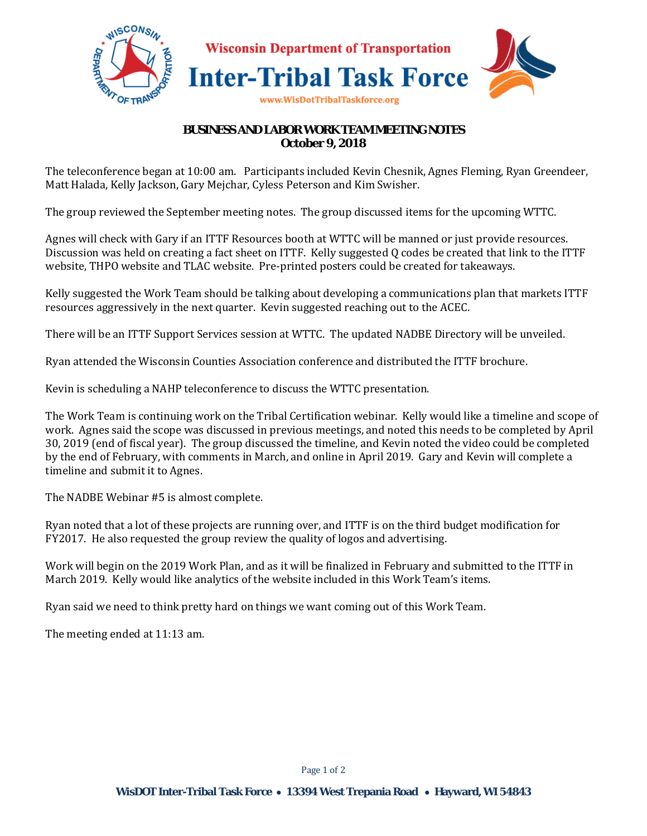

## **BUSINESS AND LABOR WORK TEAM MEETING NOTES October 9, 2018**

The teleconference began at 10:00 am. Participants included Kevin Chesnik, Agnes Fleming, Ryan Greendeer, Matt Halada, Kelly Jackson, Gary Mejchar, Cyless Peterson and Kim Swisher.

The group reviewed the September meeting notes. The group discussed items for the upcoming WTTC.

Agnes will check with Gary if an ITTF Resources booth at WTTC will be manned or just provide resources. Discussion was held on creating a fact sheet on ITTF. Kelly suggested Q codes be created that link to the ITTF website, THPO website and TLAC website. Pre-printed posters could be created for takeaways.

Kelly suggested the Work Team should be talking about developing a communications plan that markets ITTF resources aggressively in the next quarter. Kevin suggested reaching out to the ACEC.

There will be an ITTF Support Services session at WTTC. The updated NADBE Directory will be unveiled.

Ryan attended the Wisconsin Counties Association conference and distributed the ITTF brochure.

Kevin is scheduling a NAHP teleconference to discuss the WTTC presentation.

The Work Team is continuing work on the Tribal Certification webinar. Kelly would like a timeline and scope of work. Agnes said the scope was discussed in previous meetings, and noted this needs to be completed by April 30, 2019 (end of fiscal year). The group discussed the timeline, and Kevin noted the video could be completed by the end of February, with comments in March, and online in April 2019. Gary and Kevin will complete a timeline and submit it to Agnes.

The NADBE Webinar #5 is almost complete.

Ryan noted that a lot of these projects are running over, and ITTF is on the third budget modification for FY2017. He also requested the group review the quality of logos and advertising.

Work will begin on the 2019 Work Plan, and as it will be finalized in February and submitted to the ITTF in March 2019. Kelly would like analytics of the website included in this Work Team's items.

Ryan said we need to think pretty hard on things we want coming out of this Work Team.

The meeting ended at 11:13 am.